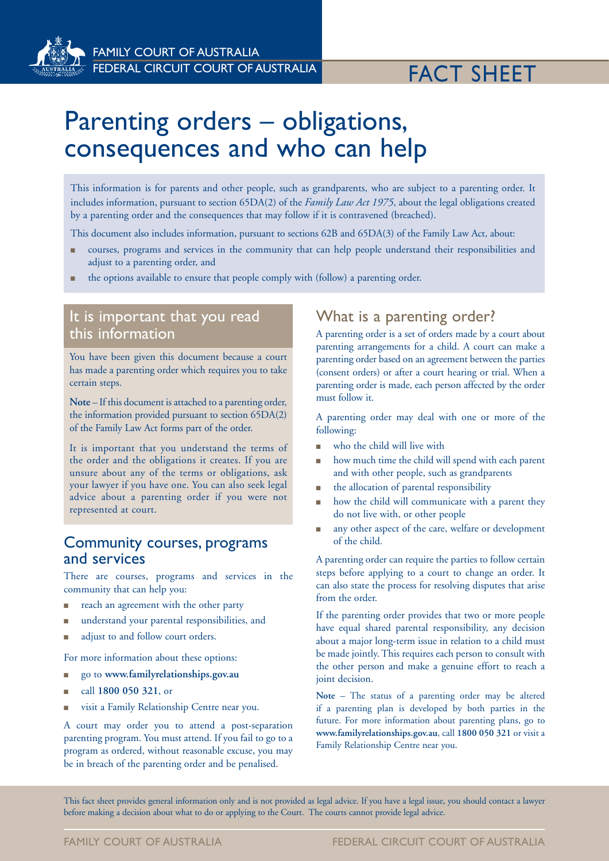

FAMILY COURT OF AUSTRALIA FEDERAL CIRCUIT COURT OF AUSTRALIA FEDERAL CIRCUIT COURT OF AUSTRALIA

# Parenting orders – obligations, consequences and who can help

This information is for parents and other people, such as grandparents, who are subject to a parenting order. It includes information, pursuant to section 65DA(2) of the *Family Law Act 1975*, about the legal obligations created by a parenting order and the consequences that may follow if it is contravened (breached).

This document also includes information, pursuant to sections 62B and 65DA(3) of the Family Law Act, about:

- <sup>n</sup> courses, programs and services in the community that can help people understand their responsibilities and adjust to a parenting order, and
- the options available to ensure that people comply with (follow) a parenting order.

### It is important that you read this information

You have been given this document because a court has made a parenting order which requires you to take certain steps.

**Note** – If this document is attached to a parenting order, the information provided pursuant to section 65DA(2) of the Family Law Act forms part of the order.

It is important that you understand the terms of the order and the obligations it creates. If you are unsure about any of the terms or obligations, ask your lawyer if you have one. You can also seek legal advice about a parenting order if you were not represented at court.

#### Community courses, programs and services

There are courses, programs and services in the community that can help you:

- reach an agreement with the other party
- <sup>n</sup> understand your parental responsibilities, and
- adjust to and follow court orders.

For more information about these options:

- <sup>n</sup> go to **www.familyrelationships.gov.au**
- <sup>n</sup> call **1800 050 321**, or
- visit a Family Relationship Centre near you.

A court may order you to attend a post-separation parenting program. You must attend. If you fail to go to a program as ordered, without reasonable excuse, you may be in breach of the parenting order and be penalised.

#### What is a parenting order?

A parenting order is a set of orders made by a court about parenting arrangements for a child. A court can make a parenting order based on an agreement between the parties (consent orders) or after a court hearing or trial. When a parenting order is made, each person affected by the order must follow it.

A parenting order may deal with one or more of the following:

- n who the child will live with
- how much time the child will spend with each parent and with other people, such as grandparents
- the allocation of parental responsibility
- how the child will communicate with a parent they do not live with, or other people
- any other aspect of the care, welfare or development of the child.

A parenting order can require the parties to follow certain steps before applying to a court to change an order. It can also state the process for resolving disputes that arise from the order.

If the parenting order provides that two or more people have equal shared parental responsibility, any decision about a major long-term issue in relation to a child must be made jointly. This requires each person to consult with the other person and make a genuine effort to reach a joint decision.

**Note** – The status of a parenting order may be altered if a parenting plan is developed by both parties in the future. For more information about parenting plans, go to **www.familyrelationships.gov.au**, call **1800 050 321** or visit a Family Relationship Centre near you.

This fact sheet provides general information only and is not provided as legal advice. If you have a legal issue, you should contact a lawyer before making a decision about what to do or applying to the Court. The courts cannot provide legal advice.